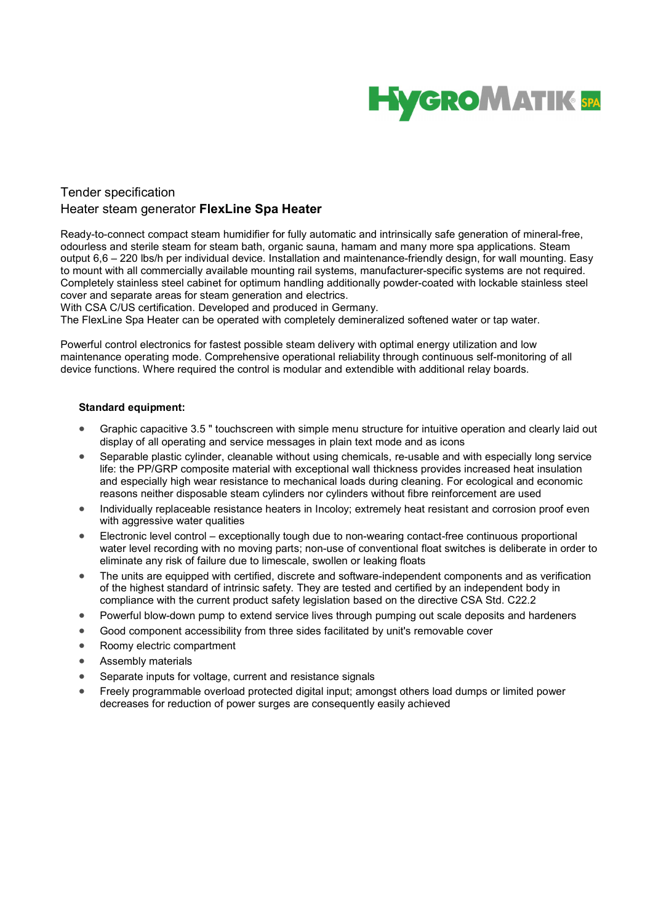

## Tender specification Heater steam generator FlexLine Spa Heater

Ready-to-connect compact steam humidifier for fully automatic and intrinsically safe generation of mineral-free, odourless and sterile steam for steam bath, organic sauna, hamam and many more spa applications. Steam output 6,6 – 220 lbs/h per individual device. Installation and maintenance-friendly design, for wall mounting. Easy to mount with all commercially available mounting rail systems, manufacturer-specific systems are not required. Completely stainless steel cabinet for optimum handling additionally powder-coated with lockable stainless steel cover and separate areas for steam generation and electrics.

With CSA C/US certification. Developed and produced in Germany.

The FlexLine Spa Heater can be operated with completely demineralized softened water or tap water.

Powerful control electronics for fastest possible steam delivery with optimal energy utilization and low maintenance operating mode. Comprehensive operational reliability through continuous self-monitoring of all device functions. Where required the control is modular and extendible with additional relay boards.

## Standard equipment:

- Graphic capacitive 3.5 " touchscreen with simple menu structure for intuitive operation and clearly laid out display of all operating and service messages in plain text mode and as icons
- Separable plastic cylinder, cleanable without using chemicals, re-usable and with especially long service life: the PP/GRP composite material with exceptional wall thickness provides increased heat insulation and especially high wear resistance to mechanical loads during cleaning. For ecological and economic reasons neither disposable steam cylinders nor cylinders without fibre reinforcement are used
- Individually replaceable resistance heaters in Incoloy; extremely heat resistant and corrosion proof even with aggressive water qualities
- Electronic level control exceptionally tough due to non-wearing contact-free continuous proportional water level recording with no moving parts; non-use of conventional float switches is deliberate in order to eliminate any risk of failure due to limescale, swollen or leaking floats
- The units are equipped with certified, discrete and software-independent components and as verification of the highest standard of intrinsic safety. They are tested and certified by an independent body in compliance with the current product safety legislation based on the directive CSA Std. C22.2
- Powerful blow-down pump to extend service lives through pumping out scale deposits and hardeners
- Good component accessibility from three sides facilitated by unit's removable cover
- Roomy electric compartment
- Assembly materials
- Separate inputs for voltage, current and resistance signals
- Freely programmable overload protected digital input; amongst others load dumps or limited power decreases for reduction of power surges are consequently easily achieved